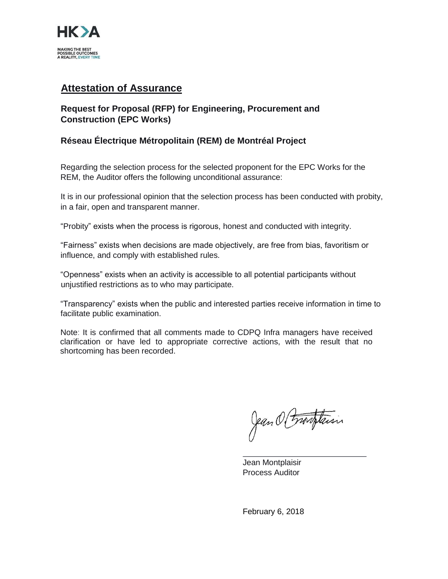

# **Attestation of Assurance**

# **Request for Proposal (RFP) for Engineering, Procurement and Construction (EPC Works)**

## **Réseau Électrique Métropolitain (REM) de Montréal Project**

Regarding the selection process for the selected proponent for the EPC Works for the REM, the Auditor offers the following unconditional assurance:

It is in our professional opinion that the selection process has been conducted with probity, in a fair, open and transparent manner.

"Probity" exists when the process is rigorous, honest and conducted with integrity.

"Fairness" exists when decisions are made objectively, are free from bias, favoritism or influence, and comply with established rules.

"Openness" exists when an activity is accessible to all potential participants without unjustified restrictions as to who may participate.

"Transparency" exists when the public and interested parties receive information in time to facilitate public examination.

Note: It is confirmed that all comments made to CDPQ Infra managers have received clarification or have led to appropriate corrective actions, with the result that no shortcoming has been recorded.

Jean O Franklaisin

Jean Montplaisir Process Auditor

February 6, 2018